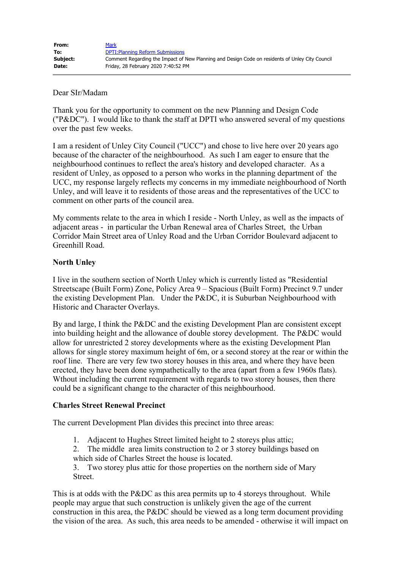| From:    | <b>Mark</b>                                                                                     |
|----------|-------------------------------------------------------------------------------------------------|
| To:      | <b>DPTI: Planning Reform Submissions</b>                                                        |
| Subject: | Comment Regarding the Impact of New Planning and Design Code on residents of Unley City Council |
| Date:    | Friday, 28 February 2020 7:40:52 PM                                                             |

#### Dear SIr/Madam

Thank you for the opportunity to comment on the new Planning and Design Code ("P&DC"). I would like to thank the staff at DPTI who answered several of my questions over the past few weeks.

I am a resident of Unley City Council ("UCC") and chose to live here over 20 years ago because of the character of the neighbourhood. As such I am eager to ensure that the neighbourhood continues to reflect the area's history and developed character. As a resident of Unley, as opposed to a person who works in the planning department of the UCC, my response largely reflects my concerns in my immediate neighbourhood of North Unley, and will leave it to residents of those areas and the representatives of the UCC to comment on other parts of the council area.

My comments relate to the area in which I reside - North Unley, as well as the impacts of adjacent areas - in particular the Urban Renewal area of Charles Street, the Urban Corridor Main Street area of Unley Road and the Urban Corridor Boulevard adjacent to Greenhill Road.

### **North Unley**

I live in the southern section of North Unley which is currently listed as "Residential Streetscape (Built Form) Zone, Policy Area 9 – Spacious (Built Form) Precinct 9.7 under the existing Development Plan. Under the P&DC, it is Suburban Neighbourhood with Historic and Character Overlays.

By and large, I think the P&DC and the existing Development Plan are consistent except into building height and the allowance of double storey development. The P&DC would allow for unrestricted 2 storey developments where as the existing Development Plan allows for single storey maximum height of 6m, or a second storey at the rear or within the roof line. There are very few two storey houses in this area, and where they have been erected, they have been done sympathetically to the area (apart from a few 1960s flats). Wthout including the current requirement with regards to two storey houses, then there could be a significant change to the character of this neighbourhood.

### **Charles Street Renewal Precinct**

The current Development Plan divides this precinct into three areas:

- 1. Adjacent to Hughes Street limited height to 2 storeys plus attic;
- 2. The middle area limits construction to 2 or 3 storey buildings based on which side of Charles Street the house is located.

3. Two storey plus attic for those properties on the northern side of Mary Street.

This is at odds with the P&DC as this area permits up to 4 storeys throughout. While people may argue that such construction is unlikely given the age of the current construction in this area, the P&DC should be viewed as a long term document providing the vision of the area. As such, this area needs to be amended - otherwise it will impact on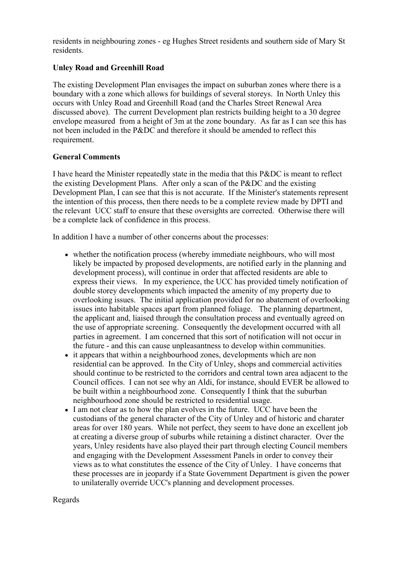residents in neighbouring zones - eg Hughes Street residents and southern side of Mary St residents.

# **Unley Road and Greenhill Road**

The existing Development Plan envisages the impact on suburban zones where there is a boundary with a zone which allows for buildings of several storeys. In North Unley this occurs with Unley Road and Greenhill Road (and the Charles Street Renewal Area discussed above). The current Development plan restricts building height to a 30 degree envelope measured from a height of 3m at the zone boundary. As far as I can see this has not been included in the P&DC and therefore it should be amended to reflect this requirement.

### **General Comments**

I have heard the Minister repeatedly state in the media that this P&DC is meant to reflect the existing Development Plans. After only a scan of the P&DC and the existing Development Plan, I can see that this is not accurate. If the Minister's statements represent the intention of this process, then there needs to be a complete review made by DPTI and the relevant UCC staff to ensure that these oversights are corrected. Otherwise there will be a complete lack of confidence in this process.

In addition I have a number of other concerns about the processes:

- whether the notification process (whereby immediate neighbours, who will most likely be impacted by proposed developments, are notified early in the planning and development process), will continue in order that affected residents are able to express their views. In my experience, the UCC has provided timely notification of double storey developments which impacted the amenity of my property due to overlooking issues. The initial application provided for no abatement of overlooking issues into habitable spaces apart from planned foliage. The planning department, the applicant and, liaised through the consultation process and eventually agreed on the use of appropriate screening. Consequently the development occurred with all parties in agreement. I am concerned that this sort of notification will not occur in the future - and this can cause unpleasantness to develop within communities.
- it appears that within a neighbourhood zones, developments which are non residential can be approved. In the City of Unley, shops and commercial activities should continue to be restricted to the corridors and central town area adjacent to the Council offices. I can not see why an Aldi, for instance, should EVER be allowed to be built within a neighbourhood zone. Consequently I think that the suburban neighbourhood zone should be restricted to residential usage.
- I am not clear as to how the plan evolves in the future. UCC have been the custodians of the general character of the City of Unley and of historic and charater areas for over 180 years. While not perfect, they seem to have done an excellent job at creating a diverse group of suburbs while retaining a distinct character. Over the years, Unley residents have also played their part through electing Council members and engaging with the Development Assessment Panels in order to convey their views as to what constitutes the essence of the City of Unley. I have concerns that these processes are in jeopardy if a State Government Department is given the power to unilaterally override UCC's planning and development processes.

## Regards